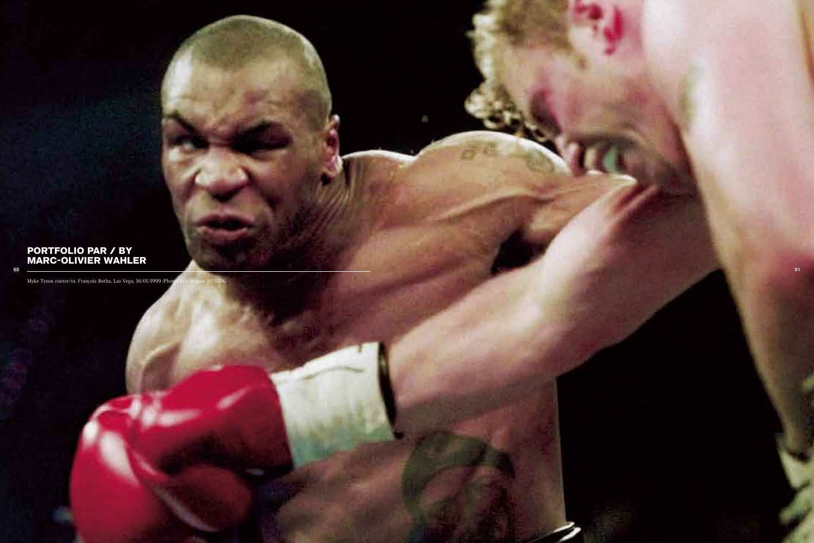## PORTFOLIO PAR / BY MARC-OLIVIER WAHLER

Myke Tyson contre/vs. François Botha, Las Vega, 16/01/1999 (Photo:

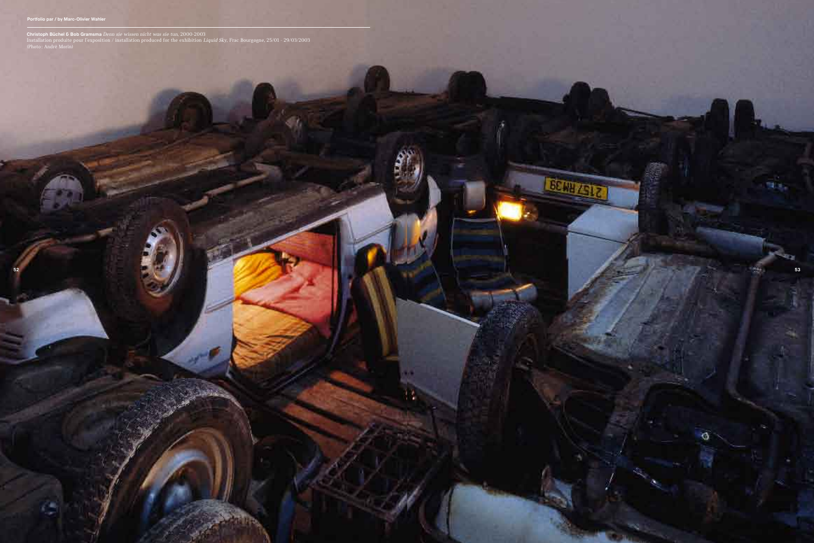

**LETTING** 

Christoph Büchel & Bob Gramsma *Denn sie wissen nicht was sie tun*, 2000-2003 Installation produite pour l'exposition / installation produced for the exhibition *Liquid Sky*, Frac Bourgogne, 25/01 - 29/03/2003 (Photo : André Morin)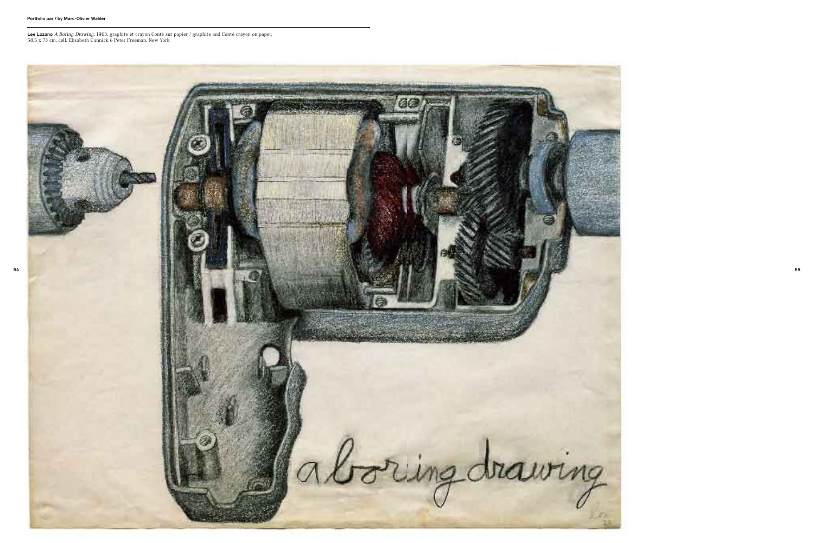

Lee Lozano *A Boring Drawing*, 1963, graphite et crayon Conté sur papier / graphite and Conté crayon on paper, 58,5 x 73 cm, coll. Elisabeth Cunnick & Peter Freeman, New York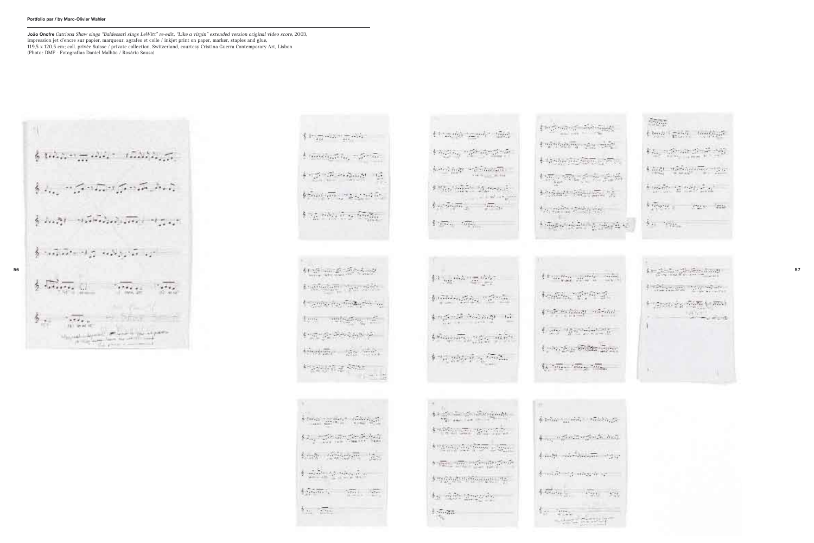$$
\frac{1}{2}
$$

 $\sum_{i=1}^n\frac{1}{\sqrt{2\pi i}}\sum_{i=1}^n\frac{1}{\sqrt{2\pi i}}\sum_{i=1}^n\frac{1}{\sqrt{2\pi i}}\frac{1}{\sqrt{2\pi i}}\sum_{i=1}^n\frac{1}{\sqrt{2\pi i}}\sum_{i=1}^n\frac{1}{\sqrt{2\pi i}}\sum_{i=1}^n\frac{1}{\sqrt{2\pi i}}\sum_{i=1}^n\frac{1}{\sqrt{2\pi i}}\sum_{i=1}^n\frac{1}{\sqrt{2\pi i}}\sum_{i=1}^n\frac{1}{\sqrt{2\pi i}}\sum_{i=1}^n$  $\frac{1}{2} \cdot \frac{1}{12224} \cdot \frac{1}{1244} \cdot \frac{1}{1244} \cdot \frac{1}{1244} \cdot \frac{1}{1244} \cdot \frac{1}{1244} \cdot \frac{1}{1244}$  $\label{eq:2.1} \frac{1}{2} \left( \sigma \left( \frac{\partial \mathcal{L}}{\partial \mathcal{L}} \right) + \mathcal{L} \frac{\partial \mathcal{L}}{\partial \mathcal{L}} \right) + \sigma \left( \frac{\partial \mathcal{L}}{\partial \mathcal{L}} \right) + \sigma \left( \frac{\partial \mathcal{L}}{\partial \mathcal{L}} \right) + \sigma \left( \frac{\partial \mathcal{L}}{\partial \mathcal{L}} \right)$  $\frac{1}{2} \sum_{i=1}^n \frac{1}{2} \sum_{i=1}^n \frac{1}{2} \sum_{i=1}^n \frac{1}{2} \sum_{i=1}^n \frac{1}{2} \sum_{i=1}^n \frac{1}{2} \sum_{i=1}^n \frac{1}{2} \sum_{i=1}^n \frac{1}{2} \sum_{i=1}^n \frac{1}{2} \sum_{i=1}^n \frac{1}{2} \sum_{i=1}^n \frac{1}{2} \sum_{i=1}^n \frac{1}{2} \sum_{i=1}^n \frac{1}{2} \sum_{i=1}^n \frac{1}{2} \sum_{i=$ 科法研究研究

**Angelessen Magnesier Contractor Financial THINGHALL Farmer**  $\frac{d}{2}+\frac{1}{2\sqrt{2}}+\frac{1}{2\sqrt{2}}+\frac{1}{2\sqrt{2}}\frac{d}{d}\frac{d}{d}\frac{d}{d}\frac{d}{d}\frac{d}{d}\frac{d}{d}\frac{d}{d}\frac{d}{d}\frac{d}{d}\frac{d}{d}\frac{d}{d}\frac{d}{d}$ therefore the state.  $\frac{1}{2} \frac{1}{2} \frac{1}{2} \frac{1}{2} \frac{1}{2} \frac{1}{2} \frac{1}{2} \frac{1}{2} \frac{1}{2} \frac{1}{2} \frac{1}{2} \frac{1}{2} \frac{1}{2} \frac{1}{2} \frac{1}{2} \frac{1}{2} \frac{1}{2} \frac{1}{2} \frac{1}{2} \frac{1}{2} \frac{1}{2} \frac{1}{2} \frac{1}{2} \frac{1}{2} \frac{1}{2} \frac{1}{2} \frac{1}{2} \frac{1}{2} \frac{1}{2} \frac{1}{2} \frac{1}{2} \frac{$ in ea s

 $\frac{1}{2}\cdot\limsup_{n\to\infty}\sup_{\partial\Omega_n\to 0}\sup_{\partial\Omega_n\to 0}\left\langle\frac{\partial}{\partial\Omega_n}\log\partial\right\rangle_{\partial\Omega_n\to 0}$  $\{\varphi_{\alpha_1},\varphi_{\alpha_2},\varphi_{\alpha_3},\varphi_{\alpha_4},\varphi_{\alpha_5},\varphi_{\alpha_6},\varphi_{\alpha_7}\}$ kad führen für  $\frac{1}{2}$  ,  $\frac{1}{2}$  ,  $\frac{1}{2}$  ,  $\frac{1}{2}$  ,  $\frac{1}{2}$  ,  $\frac{1}{2}$  ,  $\frac{1}{2}$  ,  $\frac{1}{2}$  ,  $\frac{1}{2}$ 任命第六 三、第二、第五 **The State** 

throught county this  $\mathbb{E} \left[ \mathcal{E} \left( \mathcal{L}_{\mathcal{A}} \right) \right] = \mathcal{L}_{\mathcal{A}} \left( \mathcal{L}_{\mathcal{A}} \right) = \mathcal{L}_{\mathcal{A}} \left( \mathcal{L}_{\mathcal{A}} \right)$  $\label{eq:3.1} \sum_{i=1}^n \sum_{i=1}^n \sum_{j=1}^n \sum_{j=1}^n \sum_{j=1}^n \sum_{j=1}^n \sum_{j=1}^n \sum_{j=1}^n \sum_{j=1}^n \sum_{j=1}^n \sum_{j=1}^n \sum_{j=1}^n \sum_{j=1}^n \sum_{j=1}^n \sum_{j=1}^n \sum_{j=1}^n \sum_{j=1}^n \sum_{j=1}^n \sum_{j=1}^n \sum_{j=1}^n \sum_{j=1}^n \sum_{j=1}^n \sum_{j=1}^n \sum_{j$ Post think thread  $\delta_{\mathcal{F}}\circ\overline{\phi}\circ\overline{\phi}\overline{\phi}=\delta_{\mathcal{F}}\circ\overline{\phi}\overline{\phi}\circ\overline{\phi}$  $\label{eq:4} \frac{1}{2}\sum_{i\in\mathcal{I}}\sum_{i\in\mathcal{I}}\frac{1}{\sqrt{2}}\sum_{i\in\mathcal{I}}\frac{1}{\sqrt{2}}\sum_{i\in\mathcal{I}}\frac{1}{\sqrt{2}}\sum_{i\in\mathcal{I}}\frac{1}{\sqrt{2}}\sum_{i\in\mathcal{I}}\frac{1}{\sqrt{2}}\sum_{i\in\mathcal{I}}\frac{1}{\sqrt{2}}\sum_{i\in\mathcal{I}}\frac{1}{\sqrt{2}}\sum_{i\in\mathcal{I}}\frac{1}{\sqrt{2}}\sum_{i\in\mathcal{I}}\frac{1}{\sqrt$ 

 $\sum_{i=1}^n\sum_{i=1}^n\sum_{j=1}^n\sum_{j=1}^n\sum_{j=1}^n\sum_{j=1}^n\sum_{j=1}^n\sum_{j=1}^n\sum_{j=1}^n\sum_{j=1}^n\sum_{j=1}^n\sum_{j=1}^n\sum_{j=1}^n\sum_{j=1}^n\sum_{j=1}^n\sum_{j=1}^n\sum_{j=1}^n\sum_{j=1}^n\sum_{j=1}^n\sum_{j=1}^n\sum_{j=1}^n\sum_{j=1}^n\sum_{j=1}^n\sum_{j=1}^n\sum_{j$  $\frac{1}{T}+\sum_{i=1}^T\sum_{j=1}^T\sum_{j=1}^T\sum_{j=1}^T\sum_{j=1}^T\sum_{j=1}^T\sum_{j=1}^T\sum_{j=1}^T\sum_{j=1}^T\sum_{j=1}^T\sum_{j=1}^T\sum_{j=1}^T\sum_{j=1}^T\sum_{j=1}^T\sum_{j=1}^T\sum_{j=1}^T\sum_{j=1}^T\sum_{j=1}^T\sum_{j=1}^T\sum_{j=1}^T\sum_{j=1}^T\sum_{j=1}^T\sum_{j=1}^T\sum_{j=1$  $\oint \gamma^2 \frac{1}{\epsilon^2} \frac{1}{\lambda^2} \frac{1}{\lambda^2} \frac{1}{\lambda^2} \frac{1}{\epsilon^2} \frac{1}{\epsilon^2} \frac{1}{\epsilon^2} \frac{1}{\epsilon^2} \frac{1}{\epsilon^2} \frac{1}{\epsilon^2} \frac{1}{\epsilon^2} \frac{1}{\epsilon^2} \frac{1}{\epsilon^2} \frac{1}{\epsilon^2} \frac{1}{\epsilon^2} \frac{1}{\epsilon^2} \frac{1}{\epsilon^2} \frac{1}{\epsilon^2} \frac{1}{\epsilon^2} \frac{1}{\epsilon^2} \frac{1}{\epsilon^2} \frac{1$ 

 $\frac{1}{2} \leq \frac{1}{\sqrt{2}} \leq \frac{1}{2} \leq \frac{1}{2} \leq \frac{1}{2} \leq \frac{1}{2} \leq \frac{1}{2} \leq \frac{1}{2} \leq \frac{1}{2} \leq \frac{1}{2} \leq \frac{1}{2} \leq \frac{1}{2} \leq \frac{1}{2} \leq \frac{1}{2} \leq \frac{1}{2} \leq \frac{1}{2} \leq \frac{1}{2} \leq \frac{1}{2} \leq \frac{1}{2} \leq \frac{1}{2} \leq \frac{1}{2} \leq \frac{1}{2}$ 

keeps on security.

**APASSING COMPASSION** 

 $\mathcal{F}(\sqrt[3]{2\pi})=\sqrt[3]{2\pi}\mathcal{F}(\sqrt[3]{2\pi})\sqrt[3]{2\pi}\mathcal{F}(\sqrt[3]{2\pi})\sqrt[3]{2\pi}$ 

dorf ganden i Banger og

标记的 的复数

 $\frac{1}{2}\sum_{i\in\mathcal{U}}\mathcal{A}^i\mathcal{B}$ 

 $\frac{1}{2}\log\frac{1}{\sqrt{2}}\exp\left(\frac{1}{\sqrt{2}}\right)-\frac{1}{2}\log\frac{1}{\sqrt{2}}\log\frac{1}{\sqrt{2}}\log\frac{1}{\sqrt{2}}$ Engineering make the  $+$  the subscribed decays in the  $\sim$ 化抗体能力 病病 经资源社会管理信息  $\hat{\pi}_{(1)} = \hat{\pi}_{(1)}^{\text{max}} = \hat{\pi}_{(1)}^{\text{max}} + \hat{\pi}_{(2)}^{\text{max}}$  $\frac{1}{2} \sum_{i=1}^n \frac{1}{\sigma_i^2} \sum_{i=1}^n \frac{1}{\sigma_i^2} \sum_{i=1}^n \frac{1}{\sigma_i^2} \sum_{i=1}^n \frac{1}{\sigma_i^2} \sum_{i=1}^n \frac{1}{\sigma_i^2} \sum_{i=1}^n \frac{1}{\sigma_i^2} \sum_{i=1}^n \frac{1}{\sigma_i^2} \sum_{i=1}^n \frac{1}{\sigma_i^2}$ 

```
科学院学院院长
\label{eq:psi} \xi \sim \mathcal{P} \leftrightarrow \mathcal{E}(\alpha, \theta) \rightarrow \mathcal{E} \leftrightarrow \alpha \betafrats resolutions.
Low List State Line.
\widetilde{\xi}_h \stackrel{\sim}{\longrightarrow} \widetilde{\alpha_{h+1}} \stackrel{\sim}{\longrightarrow} \widetilde{\alpha_{h+2}} \stackrel{\sim}{\longrightarrow} \widetilde{\alpha_{h+1}}.
```

| 9                                        |
|------------------------------------------|
| b triano<br>$\mathcal{E}_{\mathbf{c}}$ . |
| $\sim$<br>مان بين <del>د و</del><br>21   |
| <del>ام</del> یلاد که اول                |
| ξņ<br>φ<br>S.                            |
| $\sim$                                   |
|                                          |

 $-27.77$  $\frac{1}{4}\log\lambda\leq\frac{1}{12}\log\lambda\leq\frac{1}{2}\log\lambda\log\lambda^2$  $\{ \boldsymbol{\lambda}_{\text{max}}, \boldsymbol{\lambda}_{\text{max}}, \boldsymbol{\lambda}_{\text{max}}, \boldsymbol{\lambda}_{\text{max}} \}$  $\frac{1}{2}\sum_{i=1}^n\sum_{i=1}^n\frac{1}{2}\sum_{i=1}^n\sum_{j=1}^n\sum_{j=1}^n\frac{1}{2}\sum_{i=1}^n\sum_{j=1}^n\frac{1}{2}\sum_{j=1}^n\frac{1}{2}\sum_{j=1}^n\frac{1}{2}\sum_{j=1}^n\frac{1}{2}\sum_{j=1}^n\frac{1}{2}\sum_{j=1}^n\frac{1}{2}\sum_{j=1}^n\frac{1}{2}\sum_{j=1}^n\frac{1}{2}\sum_{j=1}^n\frac{1}{2}\sum_{j=1}^n\frac{1$  $\frac{1}{2}+\frac{1}{2}+\frac{1}{2}\frac{1}{2}\left(\frac{1}{2}-\frac{1}{2}\right)\frac{1}{2}+\frac{1}{2}\frac{1}{2}\frac{1}{2}\left(\frac{1}{2}-\frac{1}{2}\right)\frac{1}{2}+\frac{1}{2}\left(\frac{1}{2}-\frac{1}{2}\right)\frac{1}{2}+\frac{1}{2}\left(\frac{1}{2}-\frac{1}{2}\right)\frac{1}{2}+\frac{1}{2}\left(\frac{1}{2}-\frac{1}{2}\right)\frac{1}{2}+\frac{1}{2}\left(\frac{1}{2}-\frac{1}{2}\right)\frac{1}{2}+\frac{1}{2}\left$ Viewer a transference  $h_{\text{in}}$  . Then

Lating the Sunday  $\leftarrow \max\{ \pm \sqrt{\alpha} \sqrt{m} \sqrt{m} \}$  $\mathbb{R}^n$ 



João Onofre *Catriona Shaw sings "Baldessari sings LeWitt" re-edit, "Like a virgin" extended version original video score*, 2003, impression jet d'encre sur papier, marqueur, agrafes et colle / inkjet print on paper, marker, staples and glue, 119,5 x 120,5 cm ; coll. privée Suisse / private collection, Switzerland, courtesy Cristina Guerra Contemporary Art, Lisbon (Photo : DMF - Fotografias Daniel Malhão / Rosário Sousa)

## Portfolio par / by Marc-Olivier Wahler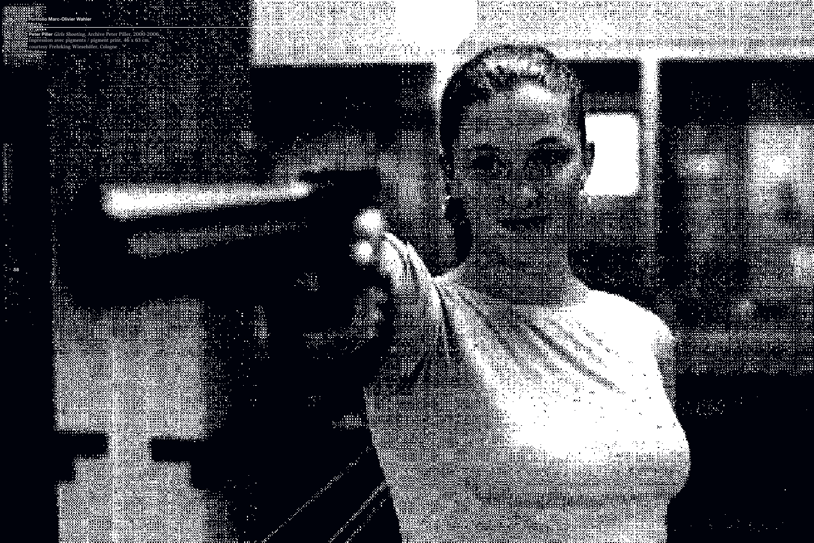iller *Girls Shooting*, Archive Peter Piller, 2000-2006.<br>
sion avec pigments / pigment print, 46 x 63 cm,<br>
y Frehrking Wiesehöfer, Cologne<br>
x Frehrking Wiesehöfer, Cologne<br>
x Albert (2002)<br>
x Albert (2003)<br>
x Albert (2003

us siy

till i District Countries.